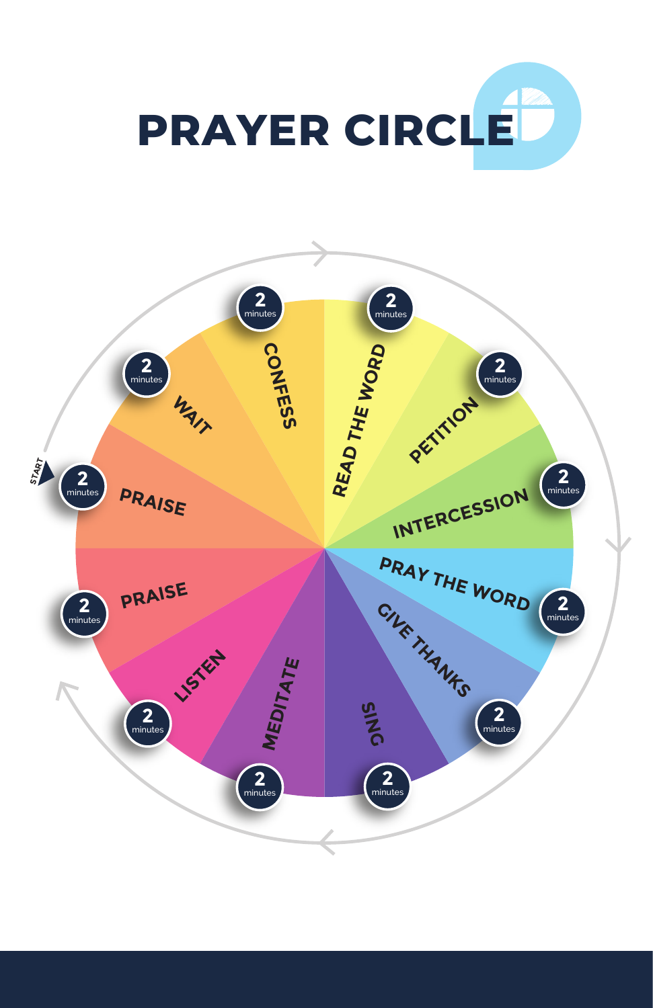